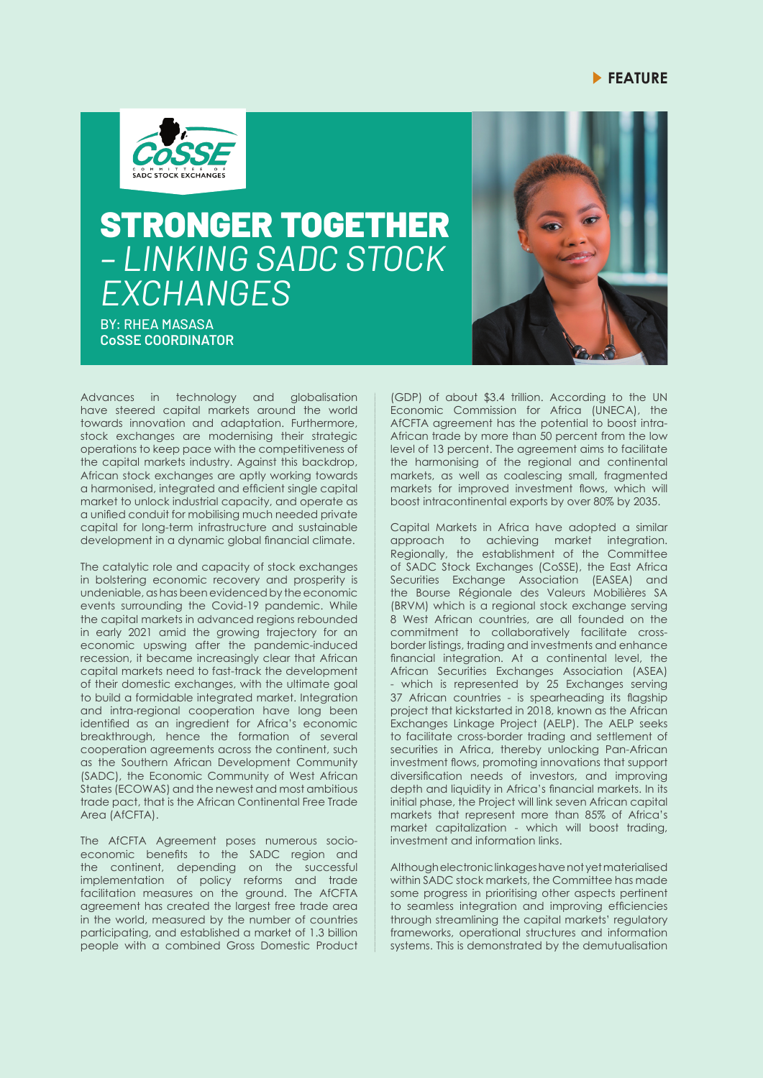## **FEATURE**



## STRONGER TOGETHER *– LINKING SADC STOCK EXCHANGES*

BY: RHEA MASASA **CoSSE COORDINATOR**



Advances in technology and globalisation have steered capital markets around the world towards innovation and adaptation. Furthermore, stock exchanges are modernising their strategic operations to keep pace with the competitiveness of the capital markets industry. Against this backdrop, African stock exchanges are aptly working towards a harmonised, integrated and efficient single capital market to unlock industrial capacity, and operate as a unified conduit for mobilising much needed private capital for long-term infrastructure and sustainable development in a dynamic global financial climate.

The catalytic role and capacity of stock exchanges in bolstering economic recovery and prosperity is undeniable, as has been evidenced by the economic events surrounding the Covid-19 pandemic. While the capital markets in advanced regions rebounded in early 2021 amid the growing trajectory for an economic upswing after the pandemic-induced recession, it became increasingly clear that African capital markets need to fast-track the development of their domestic exchanges, with the ultimate goal to build a formidable integrated market. Integration and intra-regional cooperation have long been identified as an ingredient for Africa's economic breakthrough, hence the formation of several cooperation agreements across the continent, such as the Southern African Development Community (SADC), the Economic Community of West African States (ECOWAS) and the newest and most ambitious trade pact, that is the African Continental Free Trade Area (AfCFTA).

The AfCFTA Agreement poses numerous socioeconomic benefits to the SADC region and the continent, depending on the successful implementation of policy reforms and trade facilitation measures on the ground. The AfCFTA agreement has created the largest free trade area in the world, measured by the number of countries participating, and established a market of 1.3 billion people with a combined Gross Domestic Product

(GDP) of about \$3.4 trillion. According to the UN Economic Commission for Africa (UNECA), the AfCFTA agreement has the potential to boost intra-African trade by more than 50 percent from the low level of 13 percent. The agreement aims to facilitate the harmonising of the regional and continental markets, as well as coalescing small, fragmented markets for improved investment flows, which will boost intracontinental exports by over 80% by 2035.

Capital Markets in Africa have adopted a similar approach to achieving market integration. Regionally, the establishment of the Committee of SADC Stock Exchanges (CoSSE), the East Africa Securities Exchange Association (EASEA) and the Bourse Régionale des Valeurs Mobilières SA (BRVM) which is a regional stock exchange serving 8 West African countries, are all founded on the commitment to collaboratively facilitate crossborder listings, trading and investments and enhance financial integration. At a continental level, the African Securities Exchanges Association (ASEA) which is represented by 25 Exchanges serving 37 African countries - is spearheading its flagship project that kickstarted in 2018, known as the African Exchanges Linkage Project (AELP). The AELP seeks to facilitate cross-border trading and settlement of securities in Africa, thereby unlocking Pan-African investment flows, promoting innovations that support diversification needs of investors, and improving depth and liquidity in Africa's financial markets. In its initial phase, the Project will link seven African capital markets that represent more than 85% of Africa's market capitalization - which will boost trading, investment and information links.

Although electronic linkages have not yet materialised within SADC stock markets, the Committee has made some progress in prioritising other aspects pertinent to seamless integration and improving efficiencies through streamlining the capital markets' regulatory frameworks, operational structures and information systems. This is demonstrated by the demutualisation